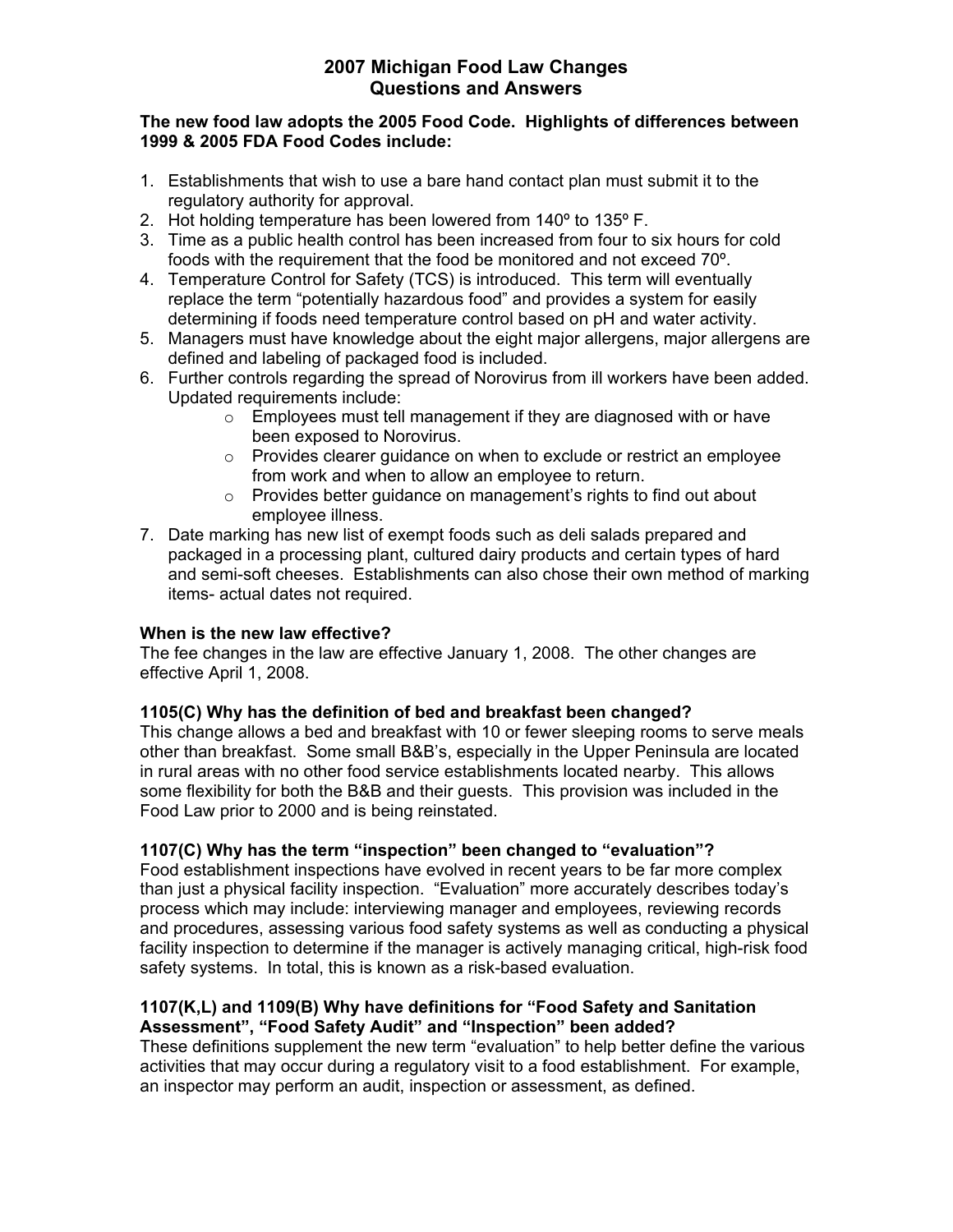## **The new food law adopts the 2005 Food Code. Highlights of differences between 1999 & 2005 FDA Food Codes include:**

- 1. Establishments that wish to use a bare hand contact plan must submit it to the regulatory authority for approval.
- 2. Hot holding temperature has been lowered from 140º to 135º F.
- 3. Time as a public health control has been increased from four to six hours for cold foods with the requirement that the food be monitored and not exceed 70º.
- 4. Temperature Control for Safety (TCS) is introduced. This term will eventually replace the term "potentially hazardous food" and provides a system for easily determining if foods need temperature control based on pH and water activity.
- 5. Managers must have knowledge about the eight major allergens, major allergens are defined and labeling of packaged food is included.
- 6. Further controls regarding the spread of Norovirus from ill workers have been added. Updated requirements include:
	- $\circ$  Employees must tell management if they are diagnosed with or have been exposed to Norovirus.
	- o Provides clearer guidance on when to exclude or restrict an employee from work and when to allow an employee to return.
	- o Provides better guidance on management's rights to find out about employee illness.
- 7. Date marking has new list of exempt foods such as deli salads prepared and packaged in a processing plant, cultured dairy products and certain types of hard and semi-soft cheeses. Establishments can also chose their own method of marking items- actual dates not required.

# **When is the new law effective?**

The fee changes in the law are effective January 1, 2008. The other changes are effective April 1, 2008.

# **1105(C) Why has the definition of bed and breakfast been changed?**

This change allows a bed and breakfast with 10 or fewer sleeping rooms to serve meals other than breakfast. Some small B&B's, especially in the Upper Peninsula are located in rural areas with no other food service establishments located nearby. This allows some flexibility for both the B&B and their guests. This provision was included in the Food Law prior to 2000 and is being reinstated.

# **1107(C) Why has the term "inspection" been changed to "evaluation"?**

Food establishment inspections have evolved in recent years to be far more complex than just a physical facility inspection. "Evaluation" more accurately describes today's process which may include: interviewing manager and employees, reviewing records and procedures, assessing various food safety systems as well as conducting a physical facility inspection to determine if the manager is actively managing critical, high-risk food safety systems. In total, this is known as a risk-based evaluation.

## **1107(K,L) and 1109(B) Why have definitions for "Food Safety and Sanitation Assessment", "Food Safety Audit" and "Inspection" been added?**

These definitions supplement the new term "evaluation" to help better define the various activities that may occur during a regulatory visit to a food establishment. For example, an inspector may perform an audit, inspection or assessment, as defined.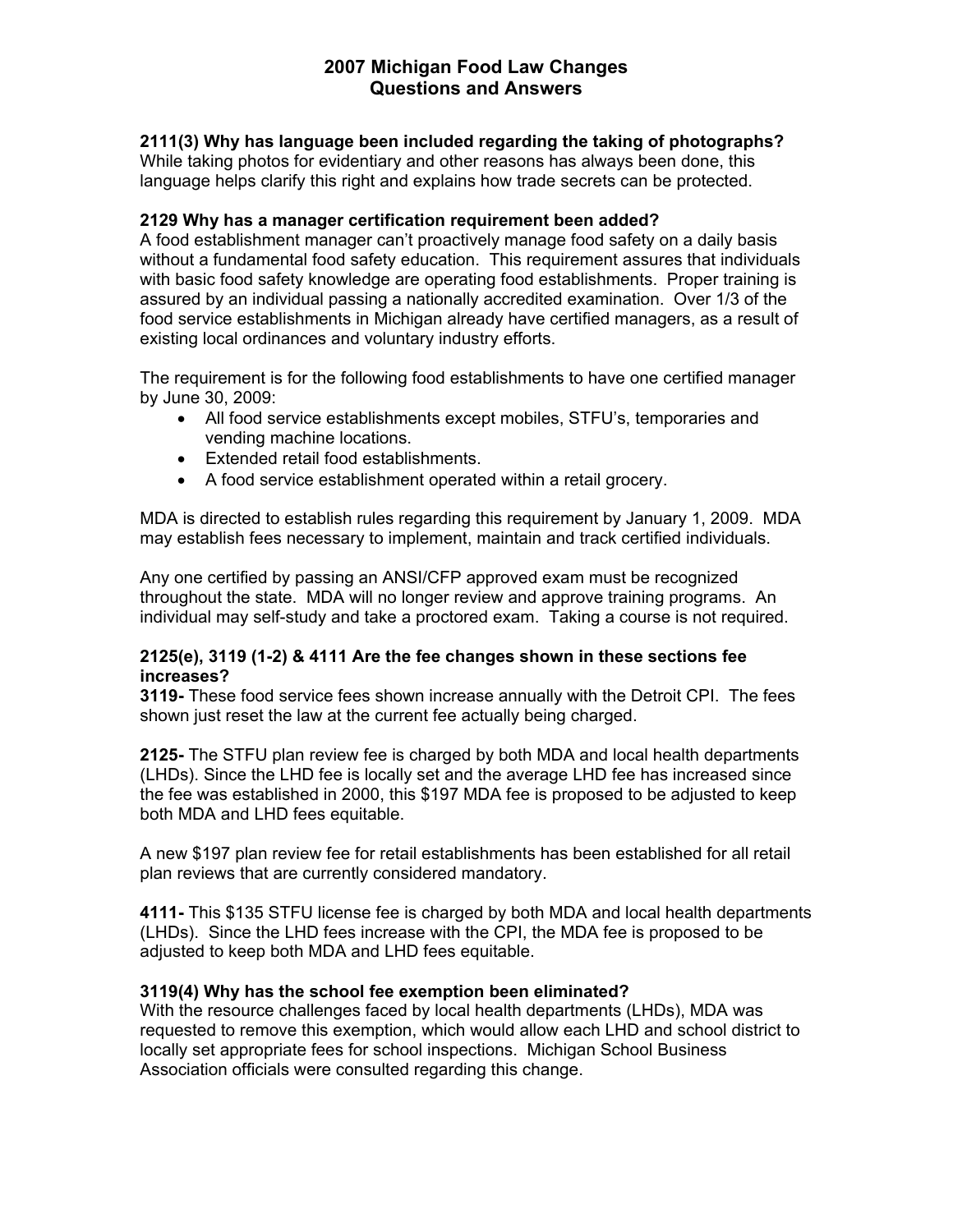**2111(3) Why has language been included regarding the taking of photographs?** 

While taking photos for evidentiary and other reasons has always been done, this language helps clarify this right and explains how trade secrets can be protected.

## **2129 Why has a manager certification requirement been added?**

A food establishment manager can't proactively manage food safety on a daily basis without a fundamental food safety education. This requirement assures that individuals with basic food safety knowledge are operating food establishments. Proper training is assured by an individual passing a nationally accredited examination. Over 1/3 of the food service establishments in Michigan already have certified managers, as a result of existing local ordinances and voluntary industry efforts.

The requirement is for the following food establishments to have one certified manager by June 30, 2009:

- All food service establishments except mobiles, STFU's, temporaries and vending machine locations.
- Extended retail food establishments.
- A food service establishment operated within a retail grocery.

MDA is directed to establish rules regarding this requirement by January 1, 2009. MDA may establish fees necessary to implement, maintain and track certified individuals.

Any one certified by passing an ANSI/CFP approved exam must be recognized throughout the state. MDA will no longer review and approve training programs. An individual may self-study and take a proctored exam. Taking a course is not required.

# **2125(e), 3119 (1-2) & 4111 Are the fee changes shown in these sections fee increases?**

**3119-** These food service fees shown increase annually with the Detroit CPI. The fees shown just reset the law at the current fee actually being charged.

**2125-** The STFU plan review fee is charged by both MDA and local health departments (LHDs). Since the LHD fee is locally set and the average LHD fee has increased since the fee was established in 2000, this \$197 MDA fee is proposed to be adjusted to keep both MDA and LHD fees equitable.

A new \$197 plan review fee for retail establishments has been established for all retail plan reviews that are currently considered mandatory.

**4111-** This \$135 STFU license fee is charged by both MDA and local health departments (LHDs). Since the LHD fees increase with the CPI, the MDA fee is proposed to be adjusted to keep both MDA and LHD fees equitable.

# **3119(4) Why has the school fee exemption been eliminated?**

With the resource challenges faced by local health departments (LHDs), MDA was requested to remove this exemption, which would allow each LHD and school district to locally set appropriate fees for school inspections. Michigan School Business Association officials were consulted regarding this change.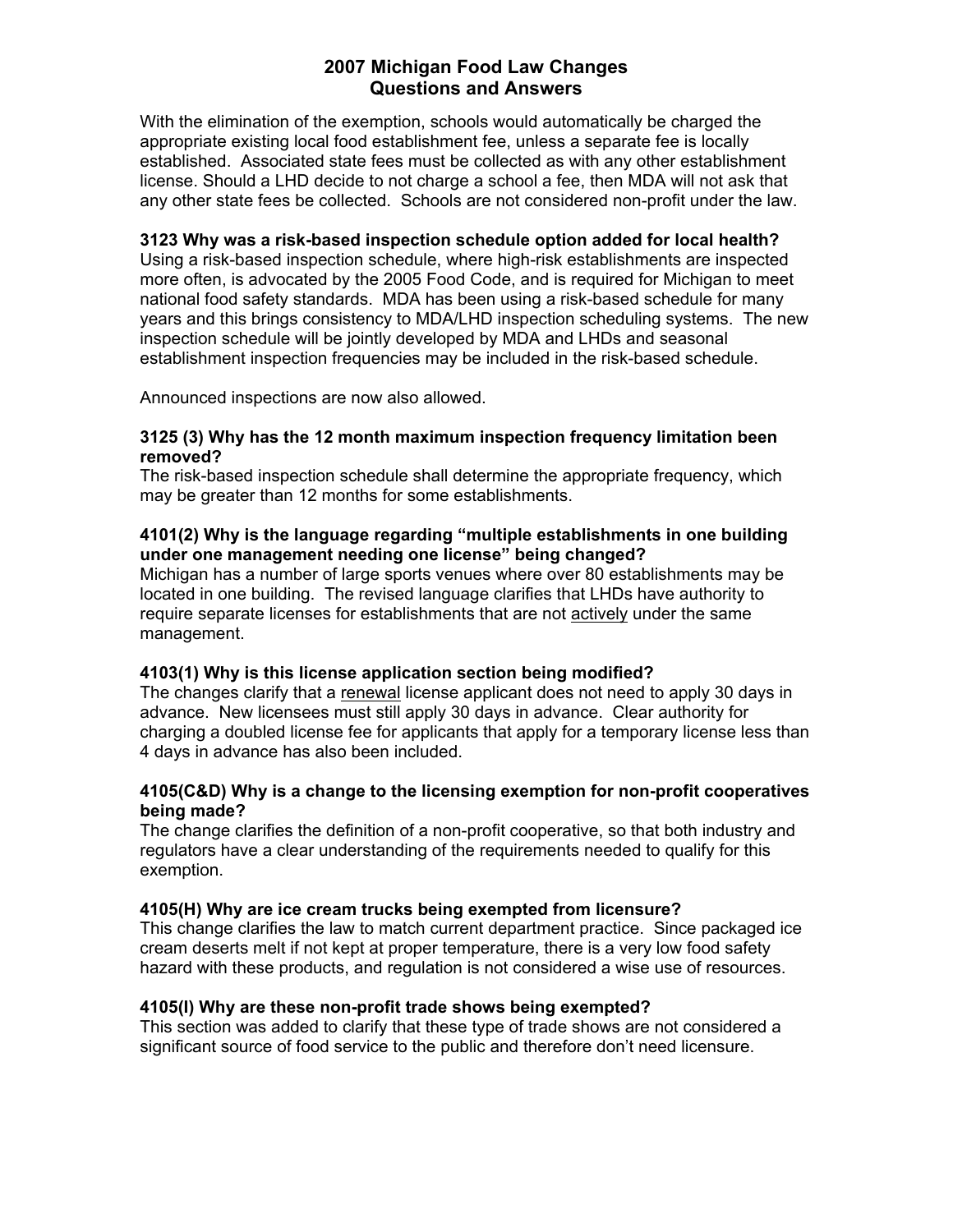With the elimination of the exemption, schools would automatically be charged the appropriate existing local food establishment fee, unless a separate fee is locally established. Associated state fees must be collected as with any other establishment license. Should a LHD decide to not charge a school a fee, then MDA will not ask that any other state fees be collected. Schools are not considered non-profit under the law.

#### **3123 Why was a risk-based inspection schedule option added for local health?**

Using a risk-based inspection schedule, where high-risk establishments are inspected more often, is advocated by the 2005 Food Code, and is required for Michigan to meet national food safety standards. MDA has been using a risk-based schedule for many years and this brings consistency to MDA/LHD inspection scheduling systems. The new inspection schedule will be jointly developed by MDA and LHDs and seasonal establishment inspection frequencies may be included in the risk-based schedule.

Announced inspections are now also allowed.

#### **3125 (3) Why has the 12 month maximum inspection frequency limitation been removed?**

The risk-based inspection schedule shall determine the appropriate frequency, which may be greater than 12 months for some establishments.

# **4101(2) Why is the language regarding "multiple establishments in one building under one management needing one license" being changed?**

Michigan has a number of large sports venues where over 80 establishments may be located in one building. The revised language clarifies that LHDs have authority to require separate licenses for establishments that are not actively under the same management.

# **4103(1) Why is this license application section being modified?**

The changes clarify that a renewal license applicant does not need to apply 30 days in advance. New licensees must still apply 30 days in advance. Clear authority for charging a doubled license fee for applicants that apply for a temporary license less than 4 days in advance has also been included.

## **4105(C&D) Why is a change to the licensing exemption for non-profit cooperatives being made?**

The change clarifies the definition of a non-profit cooperative, so that both industry and regulators have a clear understanding of the requirements needed to qualify for this exemption.

# **4105(H) Why are ice cream trucks being exempted from licensure?**

This change clarifies the law to match current department practice. Since packaged ice cream deserts melt if not kept at proper temperature, there is a very low food safety hazard with these products, and regulation is not considered a wise use of resources.

# **4105(I) Why are these non-profit trade shows being exempted?**

This section was added to clarify that these type of trade shows are not considered a significant source of food service to the public and therefore don't need licensure.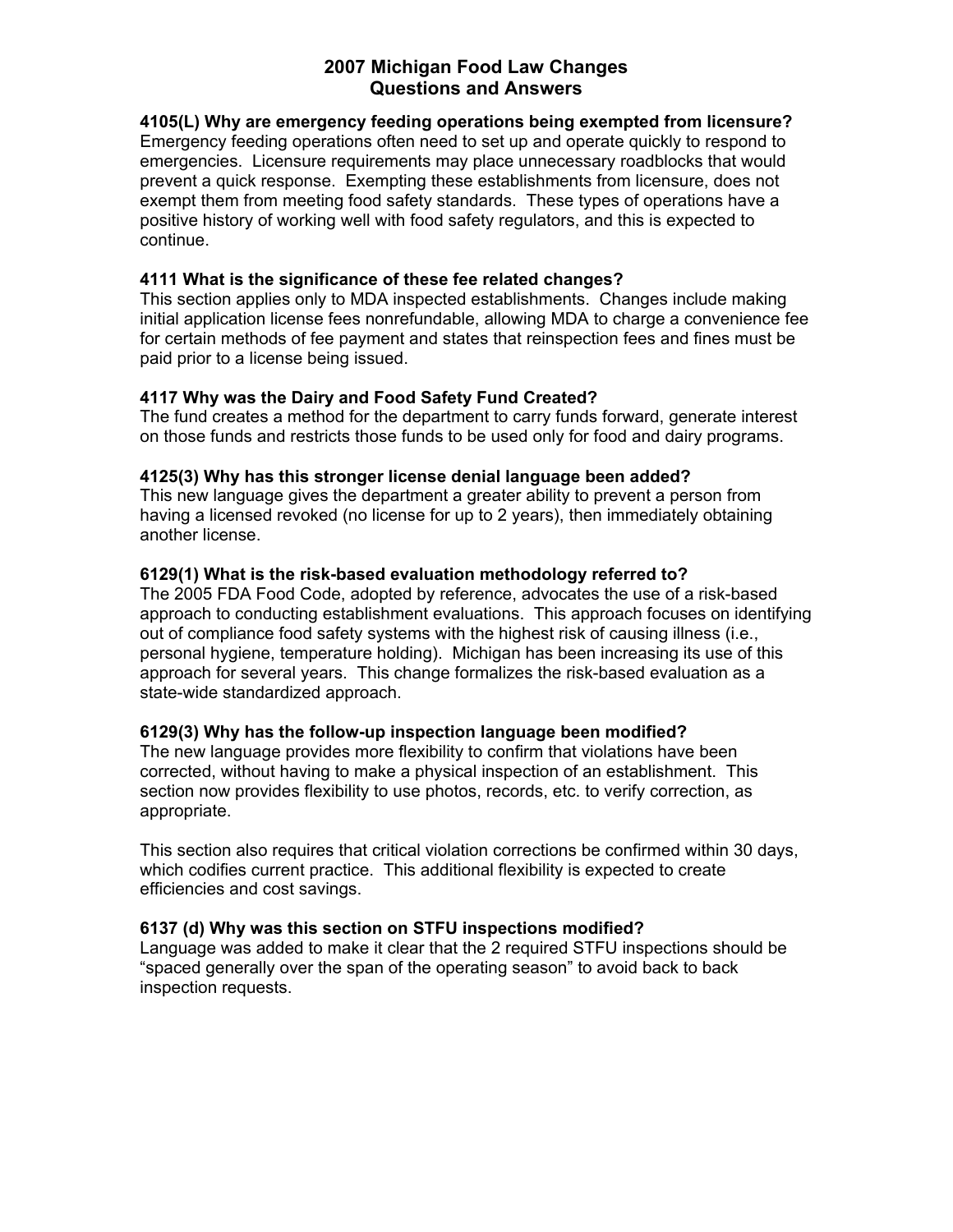**4105(L) Why are emergency feeding operations being exempted from licensure?**  Emergency feeding operations often need to set up and operate quickly to respond to emergencies. Licensure requirements may place unnecessary roadblocks that would prevent a quick response. Exempting these establishments from licensure, does not exempt them from meeting food safety standards. These types of operations have a positive history of working well with food safety regulators, and this is expected to continue.

## **4111 What is the significance of these fee related changes?**

This section applies only to MDA inspected establishments. Changes include making initial application license fees nonrefundable, allowing MDA to charge a convenience fee for certain methods of fee payment and states that reinspection fees and fines must be paid prior to a license being issued.

# **4117 Why was the Dairy and Food Safety Fund Created?**

The fund creates a method for the department to carry funds forward, generate interest on those funds and restricts those funds to be used only for food and dairy programs.

# **4125(3) Why has this stronger license denial language been added?**

This new language gives the department a greater ability to prevent a person from having a licensed revoked (no license for up to 2 years), then immediately obtaining another license.

## **6129(1) What is the risk-based evaluation methodology referred to?**

The 2005 FDA Food Code, adopted by reference, advocates the use of a risk-based approach to conducting establishment evaluations. This approach focuses on identifying out of compliance food safety systems with the highest risk of causing illness (i.e., personal hygiene, temperature holding). Michigan has been increasing its use of this approach for several years. This change formalizes the risk-based evaluation as a state-wide standardized approach.

# **6129(3) Why has the follow-up inspection language been modified?**

The new language provides more flexibility to confirm that violations have been corrected, without having to make a physical inspection of an establishment. This section now provides flexibility to use photos, records, etc. to verify correction, as appropriate.

This section also requires that critical violation corrections be confirmed within 30 days, which codifies current practice. This additional flexibility is expected to create efficiencies and cost savings.

# **6137 (d) Why was this section on STFU inspections modified?**

Language was added to make it clear that the 2 required STFU inspections should be "spaced generally over the span of the operating season" to avoid back to back inspection requests.